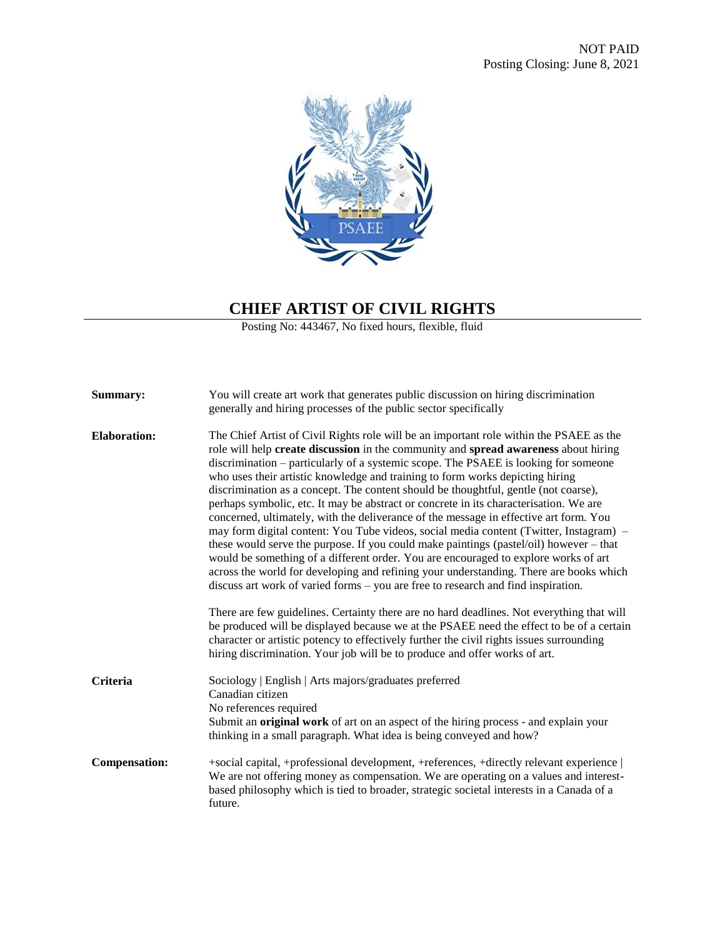

## **CHIEF ARTIST OF CIVIL RIGHTS**

Posting No: 443467, No fixed hours, flexible, fluid

| Summary:             | You will create art work that generates public discussion on hiring discrimination<br>generally and hiring processes of the public sector specifically                                                                                                                                                                                                                                                                                                                                                                                                                                                                                                                                                                                                                                                                                                                                                                                                                                                                                                                                    |
|----------------------|-------------------------------------------------------------------------------------------------------------------------------------------------------------------------------------------------------------------------------------------------------------------------------------------------------------------------------------------------------------------------------------------------------------------------------------------------------------------------------------------------------------------------------------------------------------------------------------------------------------------------------------------------------------------------------------------------------------------------------------------------------------------------------------------------------------------------------------------------------------------------------------------------------------------------------------------------------------------------------------------------------------------------------------------------------------------------------------------|
| <b>Elaboration:</b>  | The Chief Artist of Civil Rights role will be an important role within the PSAEE as the<br>role will help create discussion in the community and spread awareness about hiring<br>discrimination – particularly of a systemic scope. The PSAEE is looking for someone<br>who uses their artistic knowledge and training to form works depicting hiring<br>discrimination as a concept. The content should be thoughtful, gentle (not coarse),<br>perhaps symbolic, etc. It may be abstract or concrete in its characterisation. We are<br>concerned, ultimately, with the deliverance of the message in effective art form. You<br>may form digital content: You Tube videos, social media content (Twitter, Instagram) –<br>these would serve the purpose. If you could make paintings (pastel/oil) however – that<br>would be something of a different order. You are encouraged to explore works of art<br>across the world for developing and refining your understanding. There are books which<br>discuss art work of varied forms – you are free to research and find inspiration. |
|                      | There are few guidelines. Certainty there are no hard deadlines. Not everything that will<br>be produced will be displayed because we at the PSAEE need the effect to be of a certain<br>character or artistic potency to effectively further the civil rights issues surrounding<br>hiring discrimination. Your job will be to produce and offer works of art.                                                                                                                                                                                                                                                                                                                                                                                                                                                                                                                                                                                                                                                                                                                           |
| <b>Criteria</b>      | Sociology   English   Arts majors/graduates preferred<br>Canadian citizen<br>No references required<br>Submit an <b>original work</b> of art on an aspect of the hiring process - and explain your<br>thinking in a small paragraph. What idea is being conveyed and how?                                                                                                                                                                                                                                                                                                                                                                                                                                                                                                                                                                                                                                                                                                                                                                                                                 |
| <b>Compensation:</b> | +social capital, +professional development, +references, +directly relevant experience  <br>We are not offering money as compensation. We are operating on a values and interest-<br>based philosophy which is tied to broader, strategic societal interests in a Canada of a<br>future.                                                                                                                                                                                                                                                                                                                                                                                                                                                                                                                                                                                                                                                                                                                                                                                                  |